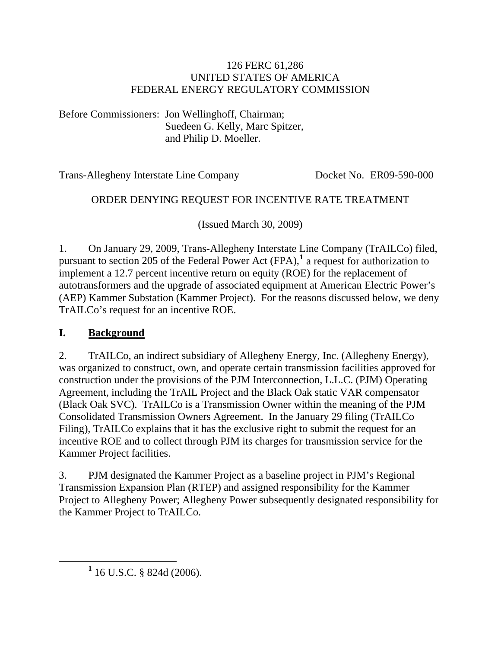#### 126 FERC 61,286 UNITED STATES OF AMERICA FEDERAL ENERGY REGULATORY COMMISSION

Before Commissioners: Jon Wellinghoff, Chairman; Suedeen G. Kelly, Marc Spitzer, and Philip D. Moeller.

Trans-Allegheny Interstate Line Company Docket No. ER09-590-000

### ORDER DENYING REQUEST FOR INCENTIVE RATE TREATMENT

(Issued March 30, 2009)

1. On January 29, 2009, Trans-Allegheny Interstate Line Company (TrAILCo) filed, pursuant to section 205 of the Federal Power Act (FPA),**[1](#page-0-0)** a request for authorization to implement a 12.7 percent incentive return on equity (ROE) for the replacement of autotransformers and the upgrade of associated equipment at American Electric Power's (AEP) Kammer Substation (Kammer Project). For the reasons discussed below, we deny TrAILCo's request for an incentive ROE.

#### **I. Background**

2. TrAILCo, an indirect subsidiary of Allegheny Energy, Inc. (Allegheny Energy), was organized to construct, own, and operate certain transmission facilities approved for construction under the provisions of the PJM Interconnection, L.L.C. (PJM) Operating Agreement, including the TrAIL Project and the Black Oak static VAR compensator (Black Oak SVC). TrAILCo is a Transmission Owner within the meaning of the PJM Consolidated Transmission Owners Agreement. In the January 29 filing (TrAILCo Filing), TrAILCo explains that it has the exclusive right to submit the request for an incentive ROE and to collect through PJM its charges for transmission service for the Kammer Project facilities.

3. PJM designated the Kammer Project as a baseline project in PJM's Regional Transmission Expansion Plan (RTEP) and assigned responsibility for the Kammer Project to Allegheny Power; Allegheny Power subsequently designated responsibility for the Kammer Project to TrAILCo.

<span id="page-0-0"></span><sup>&</sup>lt;u>1</u>  $1$  16 U.S.C. § 824d (2006).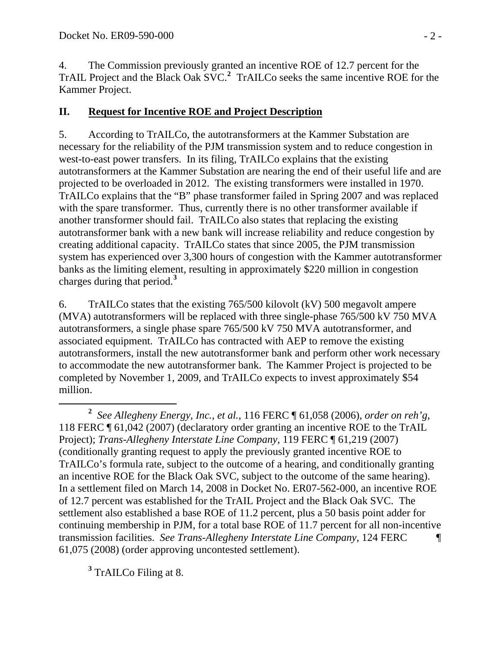4. The Commission previously granted an incentive ROE of 12.7 percent for the TrAIL Project and the Black Oak SVC.**[2](#page-1-0)** TrAILCo seeks the same incentive ROE for the Kammer Project.

### **II. Request for Incentive ROE and Project Description**

5. According to TrAILCo, the autotransformers at the Kammer Substation are necessary for the reliability of the PJM transmission system and to reduce congestion in west-to-east power transfers. In its filing, TrAILCo explains that the existing autotransformers at the Kammer Substation are nearing the end of their useful life and are projected to be overloaded in 2012. The existing transformers were installed in 1970. TrAILCo explains that the "B" phase transformer failed in Spring 2007 and was replaced with the spare transformer. Thus, currently there is no other transformer available if another transformer should fail. TrAILCo also states that replacing the existing autotransformer bank with a new bank will increase reliability and reduce congestion by creating additional capacity. TrAILCo states that since 2005, the PJM transmission system has experienced over 3,300 hours of congestion with the Kammer autotransformer banks as the limiting element, resulting in approximately \$220 million in congestion charges during that period.**[3](#page-1-1)**

6. TrAILCo states that the existing 765/500 kilovolt (kV) 500 megavolt ampere (MVA) autotransformers will be replaced with three single-phase 765/500 kV 750 MVA autotransformers, a single phase spare 765/500 kV 750 MVA autotransformer, and associated equipment. TrAILCo has contracted with AEP to remove the existing autotransformers, install the new autotransformer bank and perform other work necessary to accommodate the new autotransformer bank. The Kammer Project is projected to be completed by November 1, 2009, and TrAILCo expects to invest approximately \$54 million.

<span id="page-1-1"></span>**3** TrAILCo Filing at 8.

<span id="page-1-0"></span>**<sup>2</sup>** *See Allegheny Energy, Inc., et al.*, 116 FERC ¶ 61,058 (2006), *order on reh'g*, 118 FERC ¶ 61,042 (2007) (declaratory order granting an incentive ROE to the TrAIL Project); *Trans-Allegheny Interstate Line Company*, 119 FERC ¶ 61,219 (2007) (conditionally granting request to apply the previously granted incentive ROE to TrAILCo's formula rate, subject to the outcome of a hearing, and conditionally granting an incentive ROE for the Black Oak SVC, subject to the outcome of the same hearing). In a settlement filed on March 14, 2008 in Docket No. ER07-562-000, an incentive ROE of 12.7 percent was established for the TrAIL Project and the Black Oak SVC. The settlement also established a base ROE of 11.2 percent, plus a 50 basis point adder for continuing membership in PJM, for a total base ROE of 11.7 percent for all non-incentive transmission facilities. *See Trans-Allegheny Interstate Line Company*, 124 FERC ¶ 61,075 (2008) (order approving uncontested settlement).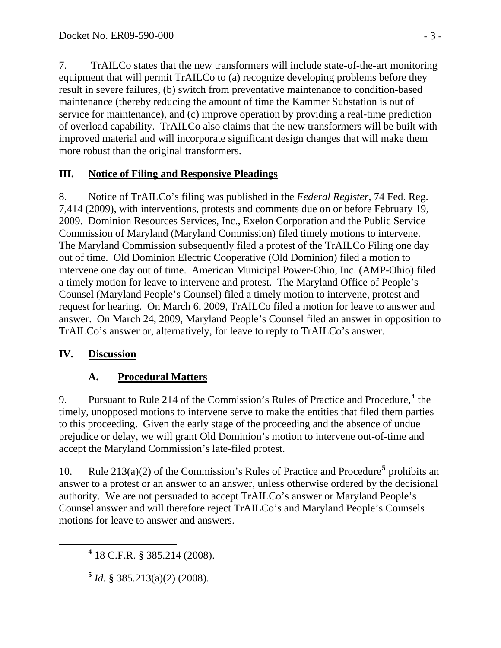7. TrAILCo states that the new transformers will include state-of-the-art monitoring equipment that will permit TrAILCo to (a) recognize developing problems before they result in severe failures, (b) switch from preventative maintenance to condition-based maintenance (thereby reducing the amount of time the Kammer Substation is out of service for maintenance), and (c) improve operation by providing a real-time prediction of overload capability. TrAILCo also claims that the new transformers will be built with improved material and will incorporate significant design changes that will make them more robust than the original transformers.

# **III. Notice of Filing and Responsive Pleadings**

8. Notice of TrAILCo's filing was published in the *Federal Register*, 74 Fed. Reg. 7,414 (2009), with interventions, protests and comments due on or before February 19, 2009. Dominion Resources Services, Inc., Exelon Corporation and the Public Service Commission of Maryland (Maryland Commission) filed timely motions to intervene. The Maryland Commission subsequently filed a protest of the TrAILCo Filing one day out of time. Old Dominion Electric Cooperative (Old Dominion) filed a motion to intervene one day out of time. American Municipal Power-Ohio, Inc. (AMP-Ohio) filed a timely motion for leave to intervene and protest. The Maryland Office of People's Counsel (Maryland People's Counsel) filed a timely motion to intervene, protest and request for hearing. On March 6, 2009, TrAILCo filed a motion for leave to answer and answer. On March 24, 2009, Maryland People's Counsel filed an answer in opposition to TrAILCo's answer or, alternatively, for leave to reply to TrAILCo's answer.

# **IV. Discussion**

# **A. Procedural Matters**

9. Pursuant to Rule 21[4](#page-2-0) of the Commission's Rules of Practice and Procedure,<sup>4</sup> the timely, unopposed motions to intervene serve to make the entities that filed them parties to this proceeding. Given the early stage of the proceeding and the absence of undue prejudice or delay, we will grant Old Dominion's motion to intervene out-of-time and accept the Maryland Commission's late-filed protest.

10. Rule  $213(a)(2)$  of the Commission's Rules of Practice and Procedure<sup>[5](#page-2-1)</sup> prohibits an answer to a protest or an answer to an answer, unless otherwise ordered by the decisional authority. We are not persuaded to accept TrAILCo's answer or Maryland People's Counsel answer and will therefore reject TrAILCo's and Maryland People's Counsels motions for leave to answer and answers.

<span id="page-2-1"></span><span id="page-2-0"></span> **<sup>4</sup>** 18 C.F.R. § 385.214 (2008).

**<sup>5</sup>** *Id.* § 385.213(a)(2) (2008).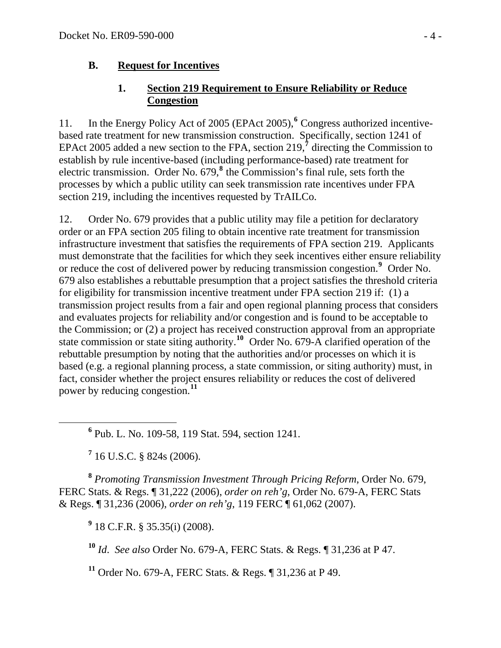### **B. Request for Incentives**

### **1. Section 219 Requirement to Ensure Reliability or Reduce Congestion**

11. In the Energy Policy Act of 2005 (EPAct 2005),<sup>[6](#page-3-0)</sup> Congress authorized incentivebased rate treatment for new transmission construction. Specifically, section 1241 of EPAct 2005 added a new section to the FPA, section 219,<sup>[7](#page-3-1)</sup> directing the Commission to establish by rule incentive-based (including performance-based) rate treatment for electric transmission. Order No. 679,<sup>[8](#page-3-2)</sup> the Commission's final rule, sets forth the processes by which a public utility can seek transmission rate incentives under FPA section 219, including the incentives requested by TrAILCo.

12. Order No. 679 provides that a public utility may file a petition for declaratory order or an FPA section 205 filing to obtain incentive rate treatment for transmission infrastructure investment that satisfies the requirements of FPA section 219. Applicants must demonstrate that the facilities for which they seek incentives either ensure reliability or reduce the cost of delivered power by reducing transmission congestion.**[9](#page-3-3)** Order No. 679 also establishes a rebuttable presumption that a project satisfies the threshold criteria for eligibility for transmission incentive treatment under FPA section 219 if: (1) a transmission project results from a fair and open regional planning process that considers and evaluates projects for reliability and/or congestion and is found to be acceptable to the Commission; or (2) a project has received construction approval from an appropriate state commission or state siting authority.**[10](#page-3-4)** Order No. 679-A clarified operation of the rebuttable presumption by noting that the authorities and/or processes on which it is based (e.g. a regional planning process, a state commission, or siting authority) must, in fact, consider whether the project ensures reliability or reduces the cost of delivered power by reducing congestion.**[11](#page-3-5)**

<span id="page-3-0"></span> **<sup>6</sup>** <sup>6</sup> Pub. L. No. 109-58, 119 Stat. 594, section 1241.

**7** 16 U.S.C. § 824s (2006).

<span id="page-3-3"></span><span id="page-3-2"></span><span id="page-3-1"></span>**<sup>8</sup>** *Promoting Transmission Investment Through Pricing Reform*, Order No. 679, FERC Stats. & Regs. ¶ 31,222 (2006), *order on reh'g*, Order No. 679-A, FERC Stats & Regs. ¶ 31,236 (2006), *order on reh'g*, 119 FERC ¶ 61,062 (2007).

**9** 18 C.F.R. § 35.35(i) (2008).

<span id="page-3-4"></span>**<sup>10</sup>** *Id*. *See also* Order No. 679-A, FERC Stats. & Regs. ¶ 31,236 at P 47.

<span id="page-3-5"></span>**<sup>11</sup>** Order No. 679-A, FERC Stats. & Regs. ¶ 31,236 at P 49.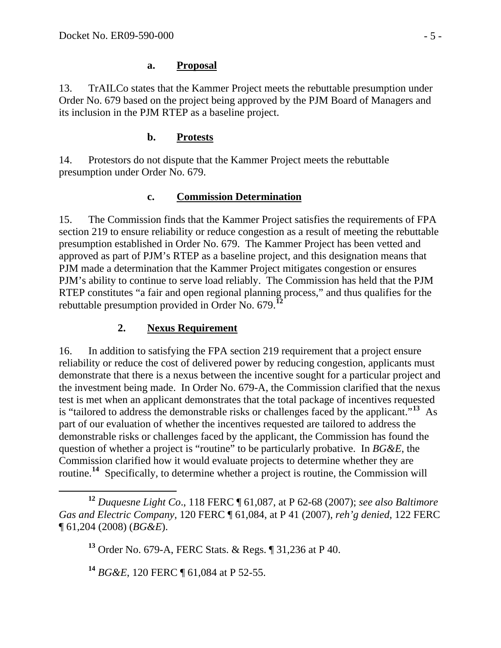### **a. Proposal**

13. TrAILCo states that the Kammer Project meets the rebuttable presumption under Order No. 679 based on the project being approved by the PJM Board of Managers and its inclusion in the PJM RTEP as a baseline project.

### **b. Protests**

14. Protestors do not dispute that the Kammer Project meets the rebuttable presumption under Order No. 679.

## **c. Commission Determination**

15. The Commission finds that the Kammer Project satisfies the requirements of FPA section 219 to ensure reliability or reduce congestion as a result of meeting the rebuttable presumption established in Order No. 679. The Kammer Project has been vetted and approved as part of PJM's RTEP as a baseline project, and this designation means that PJM made a determination that the Kammer Project mitigates congestion or ensures PJM's ability to continue to serve load reliably. The Commission has held that the PJM RTEP constitutes "a fair and open regional planning process," and thus qualifies for the rebuttable presumption provided in Order No. 679.**[12](#page-4-0)**

## **2. Nexus Requirement**

16. In addition to satisfying the FPA section 219 requirement that a project ensure reliability or reduce the cost of delivered power by reducing congestion, applicants must demonstrate that there is a nexus between the incentive sought for a particular project and the investment being made. In Order No. 679-A, the Commission clarified that the nexus test is met when an applicant demonstrates that the total package of incentives requested is "tailored to address the demonstrable risks or challenges faced by the applicant."**[13](#page-4-1)** As part of our evaluation of whether the incentives requested are tailored to address the demonstrable risks or challenges faced by the applicant, the Commission has found the question of whether a project is "routine" to be particularly probative. In *BG&E*, the Commission clarified how it would evaluate projects to determine whether they are routine.**[14](#page-4-2)** Specifically, to determine whether a project is routine, the Commission will

<span id="page-4-2"></span>**<sup>14</sup>** *BG&E*, 120 FERC ¶ 61,084 at P 52-55.

<span id="page-4-1"></span><span id="page-4-0"></span>**<sup>12</sup>** *Duquesne Light Co*., 118 FERC ¶ 61,087, at P 62-68 (2007); *see also Baltimore Gas and Electric Company*, 120 FERC ¶ 61,084, at P 41 (2007), *reh'g denied*, 122 FERC ¶ 61,204 (2008) (*BG&E*).

**<sup>13</sup>** Order No. 679-A, FERC Stats. & Regs. ¶ 31,236 at P 40.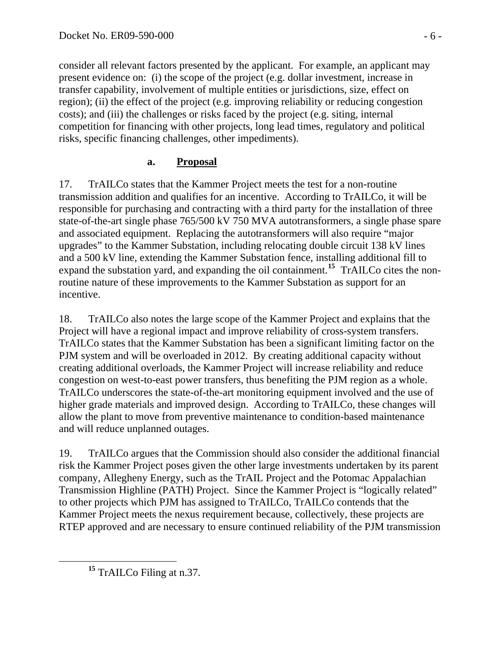consider all relevant factors presented by the applicant. For example, an applicant may present evidence on: (i) the scope of the project (e.g. dollar investment, increase in transfer capability, involvement of multiple entities or jurisdictions, size, effect on region); (ii) the effect of the project (e.g. improving reliability or reducing congestion costs); and (iii) the challenges or risks faced by the project (e.g. siting, internal competition for financing with other projects, long lead times, regulatory and political risks, specific financing challenges, other impediments).

## **a. Proposal**

17. TrAILCo states that the Kammer Project meets the test for a non-routine transmission addition and qualifies for an incentive. According to TrAILCo, it will be responsible for purchasing and contracting with a third party for the installation of three state-of-the-art single phase 765/500 kV 750 MVA autotransformers, a single phase spare and associated equipment. Replacing the autotransformers will also require "major upgrades" to the Kammer Substation, including relocating double circuit 138 kV lines and a 500 kV line, extending the Kammer Substation fence, installing additional fill to expand the substation yard, and expanding the oil containment.**[15](#page-5-0)** TrAILCo cites the nonroutine nature of these improvements to the Kammer Substation as support for an incentive.

18. TrAILCo also notes the large scope of the Kammer Project and explains that the Project will have a regional impact and improve reliability of cross-system transfers. TrAILCo states that the Kammer Substation has been a significant limiting factor on the PJM system and will be overloaded in 2012. By creating additional capacity without creating additional overloads, the Kammer Project will increase reliability and reduce congestion on west-to-east power transfers, thus benefiting the PJM region as a whole. TrAILCo underscores the state-of-the-art monitoring equipment involved and the use of higher grade materials and improved design. According to TrAILCo, these changes will allow the plant to move from preventive maintenance to condition-based maintenance and will reduce unplanned outages.

19. TrAILCo argues that the Commission should also consider the additional financial risk the Kammer Project poses given the other large investments undertaken by its parent company, Allegheny Energy, such as the TrAIL Project and the Potomac Appalachian Transmission Highline (PATH) Project. Since the Kammer Project is "logically related" to other projects which PJM has assigned to TrAILCo, TrAILCo contends that the Kammer Project meets the nexus requirement because, collectively, these projects are RTEP approved and are necessary to ensure continued reliability of the PJM transmission

<span id="page-5-0"></span>**<sup>15</sup>** TrAILCo Filing at n.37.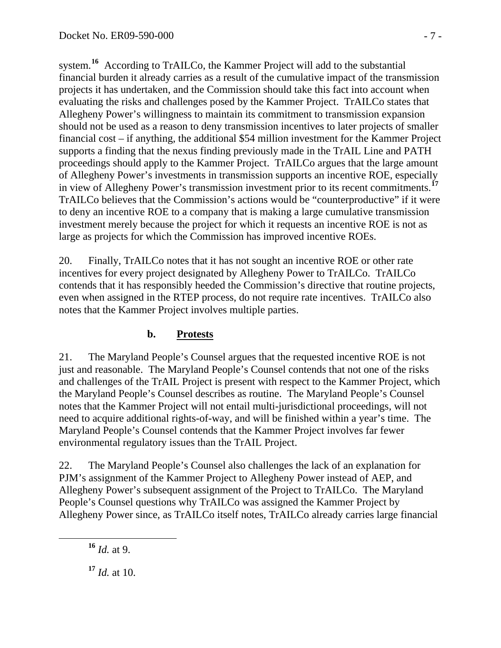system.<sup>16</sup> According to TrAILCo, the Kammer Project will add to the substantial financial burden it already carries as a result of the cumulative impact of the transmission projects it has undertaken, and the Commission should take this fact into account when evaluating the risks and challenges posed by the Kammer Project. TrAILCo states that Allegheny Power's willingness to maintain its commitment to transmission expansion should not be used as a reason to deny transmission incentives to later projects of smaller financial cost – if anything, the additional \$54 million investment for the Kammer Project supports a finding that the nexus finding previously made in the TrAIL Line and PATH proceedings should apply to the Kammer Project. TrAILCo argues that the large amount of Allegheny Power's investments in transmission supports an incentive ROE, especially in view of Allegheny Power's transmission investment prior to its recent commitments.**<sup>17</sup>** TrAILCo believes that the Commission's actions would be "counterproductive" if it were to deny an incentive ROE to a company that is making a large cumulative transmission investment merely because the project for which it requests an incentive ROE is not as large as projects for which the Commission has improved incentive ROEs.

20. Finally, TrAILCo notes that it has not sought an incentive ROE or other rate incentives for every project designated by Allegheny Power to TrAILCo. TrAILCo contends that it has responsibly heeded the Commission's directive that routine projects, even when assigned in the RTEP process, do not require rate incentives. TrAILCo also notes that the Kammer Project involves multiple parties.

### **b. Protests**

21. The Maryland People's Counsel argues that the requested incentive ROE is not just and reasonable. The Maryland People's Counsel contends that not one of the risks and challenges of the TrAIL Project is present with respect to the Kammer Project, which the Maryland People's Counsel describes as routine. The Maryland People's Counsel notes that the Kammer Project will not entail multi-jurisdictional proceedings, will not need to acquire additional rights-of-way, and will be finished within a year's time. The Maryland People's Counsel contends that the Kammer Project involves far fewer environmental regulatory issues than the TrAIL Project.

22. The Maryland People's Counsel also challenges the lack of an explanation for PJM's assignment of the Kammer Project to Allegheny Power instead of AEP, and Allegheny Power's subsequent assignment of the Project to TrAILCo. The Maryland People's Counsel questions why TrAILCo was assigned the Kammer Project by Allegheny Power since, as TrAILCo itself notes, TrAILCo already carries large financial

**<sup>16</sup>** *Id.* at 9.

**<sup>17</sup>** *Id.* at 10.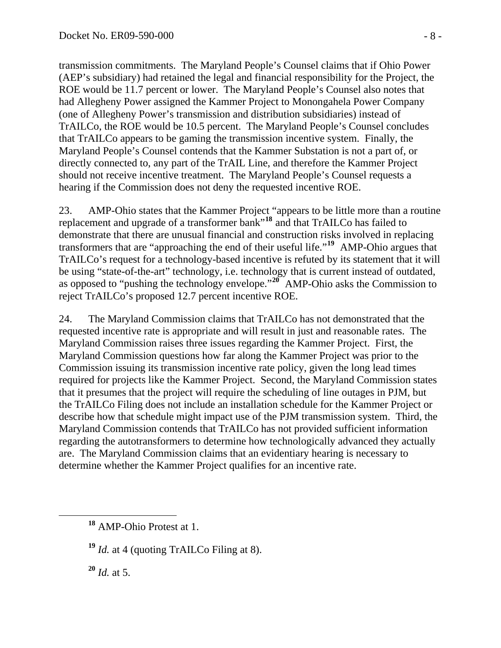transmission commitments. The Maryland People's Counsel claims that if Ohio Power (AEP's subsidiary) had retained the legal and financial responsibility for the Project, the ROE would be 11.7 percent or lower. The Maryland People's Counsel also notes that had Allegheny Power assigned the Kammer Project to Monongahela Power Company (one of Allegheny Power's transmission and distribution subsidiaries) instead of TrAILCo, the ROE would be 10.5 percent. The Maryland People's Counsel concludes that TrAILCo appears to be gaming the transmission incentive system. Finally, the Maryland People's Counsel contends that the Kammer Substation is not a part of, or directly connected to, any part of the TrAIL Line, and therefore the Kammer Project should not receive incentive treatment. The Maryland People's Counsel requests a hearing if the Commission does not deny the requested incentive ROE.

23. AMP-Ohio states that the Kammer Project "appears to be little more than a routine replacement and upgrade of a transformer bank"**[18](#page-7-0)** and that TrAILCo has failed to demonstrate that there are unusual financial and construction risks involved in replacing transformers that are "approaching the end of their useful life."**[19](#page-7-1)** AMP-Ohio argues that TrAILCo's request for a technology-based incentive is refuted by its statement that it will be using "state-of-the-art" technology, i.e. technology that is current instead of outdated, as opposed to "pushing the technology envelope."**[20](#page-7-2)** AMP-Ohio asks the Commission to reject TrAILCo's proposed 12.7 percent incentive ROE.

24. The Maryland Commission claims that TrAILCo has not demonstrated that the requested incentive rate is appropriate and will result in just and reasonable rates. The Maryland Commission raises three issues regarding the Kammer Project. First, the Maryland Commission questions how far along the Kammer Project was prior to the Commission issuing its transmission incentive rate policy, given the long lead times required for projects like the Kammer Project. Second, the Maryland Commission states that it presumes that the project will require the scheduling of line outages in PJM, but the TrAILCo Filing does not include an installation schedule for the Kammer Project or describe how that schedule might impact use of the PJM transmission system. Third, the Maryland Commission contends that TrAILCo has not provided sufficient information regarding the autotransformers to determine how technologically advanced they actually are. The Maryland Commission claims that an evidentiary hearing is necessary to determine whether the Kammer Project qualifies for an incentive rate.

<span id="page-7-2"></span>**<sup>20</sup>** *Id.* at 5.

<span id="page-7-0"></span>**<sup>18</sup>** AMP-Ohio Protest at 1.

<span id="page-7-1"></span>**<sup>19</sup>** *Id.* at 4 (quoting TrAILCo Filing at 8).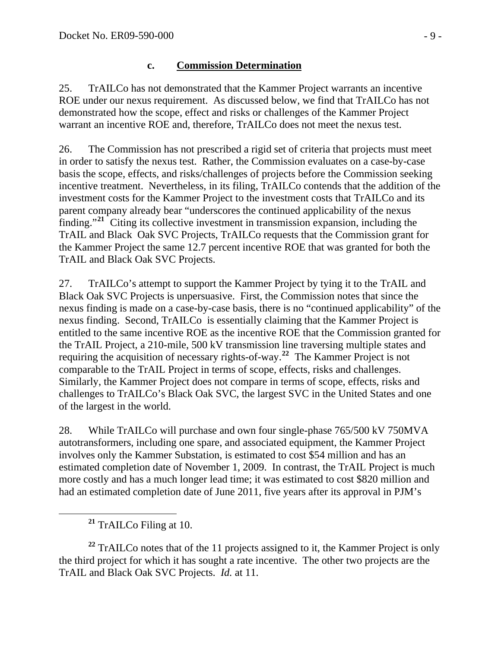#### **c. Commission Determination**

25. TrAILCo has not demonstrated that the Kammer Project warrants an incentive ROE under our nexus requirement. As discussed below, we find that TrAILCo has not demonstrated how the scope, effect and risks or challenges of the Kammer Project warrant an incentive ROE and, therefore, TrAILCo does not meet the nexus test.

26. The Commission has not prescribed a rigid set of criteria that projects must meet in order to satisfy the nexus test. Rather, the Commission evaluates on a case-by-case basis the scope, effects, and risks/challenges of projects before the Commission seeking incentive treatment. Nevertheless, in its filing, TrAILCo contends that the addition of the investment costs for the Kammer Project to the investment costs that TrAILCo and its parent company already bear "underscores the continued applicability of the nexus finding."**[21](#page-8-0)** Citing its collective investment in transmission expansion, including the TrAIL and Black Oak SVC Projects, TrAILCo requests that the Commission grant for the Kammer Project the same 12.7 percent incentive ROE that was granted for both the TrAIL and Black Oak SVC Projects.

27. TrAILCo's attempt to support the Kammer Project by tying it to the TrAIL and Black Oak SVC Projects is unpersuasive. First, the Commission notes that since the nexus finding is made on a case-by-case basis, there is no "continued applicability" of the nexus finding. Second, TrAILCo is essentially claiming that the Kammer Project is entitled to the same incentive ROE as the incentive ROE that the Commission granted for the TrAIL Project, a 210-mile, 500 kV transmission line traversing multiple states and requiring the acquisition of necessary rights-of-way.**[22](#page-8-1)** The Kammer Project is not comparable to the TrAIL Project in terms of scope, effects, risks and challenges. Similarly, the Kammer Project does not compare in terms of scope, effects, risks and challenges to TrAILCo's Black Oak SVC, the largest SVC in the United States and one of the largest in the world.

28. While TrAILCo will purchase and own four single-phase 765/500 kV 750MVA autotransformers, including one spare, and associated equipment, the Kammer Project involves only the Kammer Substation, is estimated to cost \$54 million and has an estimated completion date of November 1, 2009. In contrast, the TrAIL Project is much more costly and has a much longer lead time; it was estimated to cost \$820 million and had an estimated completion date of June 2011, five years after its approval in PJM's

**<sup>21</sup>** TrAILCo Filing at 10.

<span id="page-8-1"></span><span id="page-8-0"></span>**<sup>22</sup>** TrAILCo notes that of the 11 projects assigned to it, the Kammer Project is only the third project for which it has sought a rate incentive. The other two projects are the TrAIL and Black Oak SVC Projects. *Id.* at 11.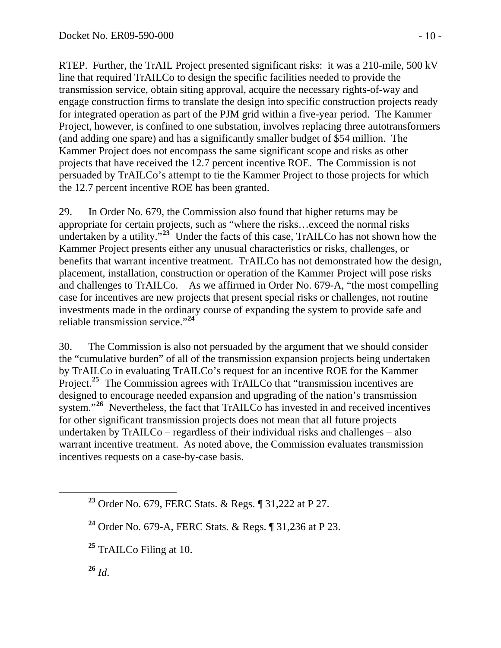RTEP. Further, the TrAIL Project presented significant risks: it was a 210-mile, 500 kV line that required TrAILCo to design the specific facilities needed to provide the transmission service, obtain siting approval, acquire the necessary rights-of-way and engage construction firms to translate the design into specific construction projects ready for integrated operation as part of the PJM grid within a five-year period. The Kammer Project, however, is confined to one substation, involves replacing three autotransformers (and adding one spare) and has a significantly smaller budget of \$54 million. The Kammer Project does not encompass the same significant scope and risks as other projects that have received the 12.7 percent incentive ROE. The Commission is not persuaded by TrAILCo's attempt to tie the Kammer Project to those projects for which the 12.7 percent incentive ROE has been granted.

29. In Order No. 679, the Commission also found that higher returns may be appropriate for certain projects, such as "where the risks…exceed the normal risks undertaken by a utility.<sup> $\cdot$ , $^{23}$  $^{23}$  $^{23}$ </sup> Under the facts of this case, TrAILCo has not shown how the Kammer Project presents either any unusual characteristics or risks, challenges, or benefits that warrant incentive treatment. TrAILCo has not demonstrated how the design, placement, installation, construction or operation of the Kammer Project will pose risks and challenges to TrAILCo. As we affirmed in Order No. 679-A, "the most compelling case for incentives are new projects that present special risks or challenges, not routine investments made in the ordinary course of expanding the system to provide safe and reliable transmission service."**[24](#page-9-1)**

30. The Commission is also not persuaded by the argument that we should consider the "cumulative burden" of all of the transmission expansion projects being undertaken by TrAILCo in evaluating TrAILCo's request for an incentive ROE for the Kammer Project.<sup>[25](#page-9-2)</sup> The Commission agrees with TrAILCo that "transmission incentives are designed to encourage needed expansion and upgrading of the nation's transmission system."<sup>[26](#page-9-3)</sup> Nevertheless, the fact that TrAILCo has invested in and received incentives for other significant transmission projects does not mean that all future projects undertaken by TrAILCo – regardless of their individual risks and challenges – also warrant incentive treatment. As noted above, the Commission evaluates transmission incentives requests on a case-by-case basis.

<span id="page-9-3"></span> $^{26}$  *Id.* 

<span id="page-9-0"></span>**<sup>23</sup>** Order No. 679, FERC Stats. & Regs. ¶ 31,222 at P 27.

<span id="page-9-1"></span>**<sup>24</sup>** Order No. 679-A, FERC Stats. & Regs. ¶ 31,236 at P 23.

<span id="page-9-2"></span>**<sup>25</sup>** TrAILCo Filing at 10.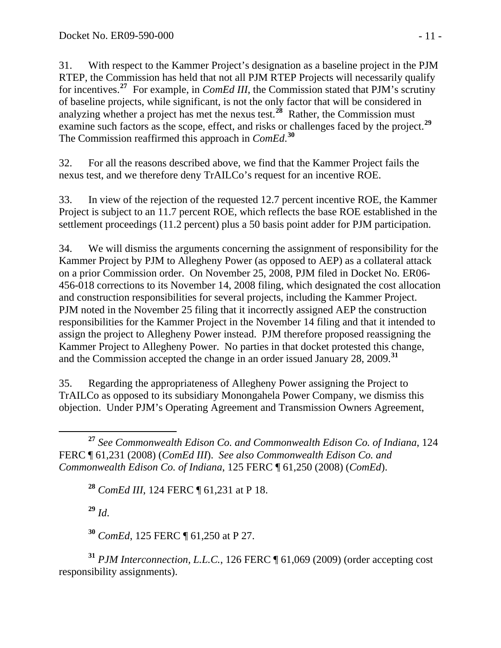31. With respect to the Kammer Project's designation as a baseline project in the PJM RTEP, the Commission has held that not all PJM RTEP Projects will necessarily qualify for incentives.**[27](#page-10-0)** For example, in *ComEd III*, the Commission stated that PJM's scrutiny of baseline projects, while significant, is not the only factor that will be considered in analyzing whether a project has met the nexus test.**[28](#page-10-1)** Rather, the Commission must examine such factors as the scope, effect, and risks or challenges faced by the project.**[29](#page-10-2)** The Commission reaffirmed this approach in *ComEd*. **[30](#page-10-3)**

32. For all the reasons described above, we find that the Kammer Project fails the nexus test, and we therefore deny TrAILCo's request for an incentive ROE.

33. In view of the rejection of the requested 12.7 percent incentive ROE, the Kammer Project is subject to an 11.7 percent ROE, which reflects the base ROE established in the settlement proceedings (11.2 percent) plus a 50 basis point adder for PJM participation.

34. We will dismiss the arguments concerning the assignment of responsibility for the Kammer Project by PJM to Allegheny Power (as opposed to AEP) as a collateral attack on a prior Commission order. On November 25, 2008, PJM filed in Docket No. ER06- 456-018 corrections to its November 14, 2008 filing, which designated the cost allocation and construction responsibilities for several projects, including the Kammer Project. PJM noted in the November 25 filing that it incorrectly assigned AEP the construction responsibilities for the Kammer Project in the November 14 filing and that it intended to assign the project to Allegheny Power instead. PJM therefore proposed reassigning the Kammer Project to Allegheny Power. No parties in that docket protested this change, and the Commission accepted the change in an order issued January 28, 2009.**[31](#page-10-4)**

35. Regarding the appropriateness of Allegheny Power assigning the Project to TrAILCo as opposed to its subsidiary Monongahela Power Company, we dismiss this objection. Under PJM's Operating Agreement and Transmission Owners Agreement,

**<sup>28</sup>** *ComEd III*, 124 FERC ¶ 61,231 at P 18.

**<sup>29</sup>** *Id*.

**<sup>30</sup>** *ComEd*, 125 FERC ¶ 61,250 at P 27.

<span id="page-10-4"></span><span id="page-10-3"></span><span id="page-10-2"></span>**<sup>31</sup>** *PJM Interconnection, L.L.C.*, 126 FERC ¶ 61,069 (2009) (order accepting cost responsibility assignments).

<span id="page-10-1"></span><span id="page-10-0"></span>**<sup>27</sup>** *See Commonwealth Edison Co. and Commonwealth Edison Co. of Indiana*, 124 FERC ¶ 61,231 (2008) (*ComEd III*). *See also Commonwealth Edison Co. and Commonwealth Edison Co. of Indiana*, 125 FERC ¶ 61,250 (2008) (*ComEd*).